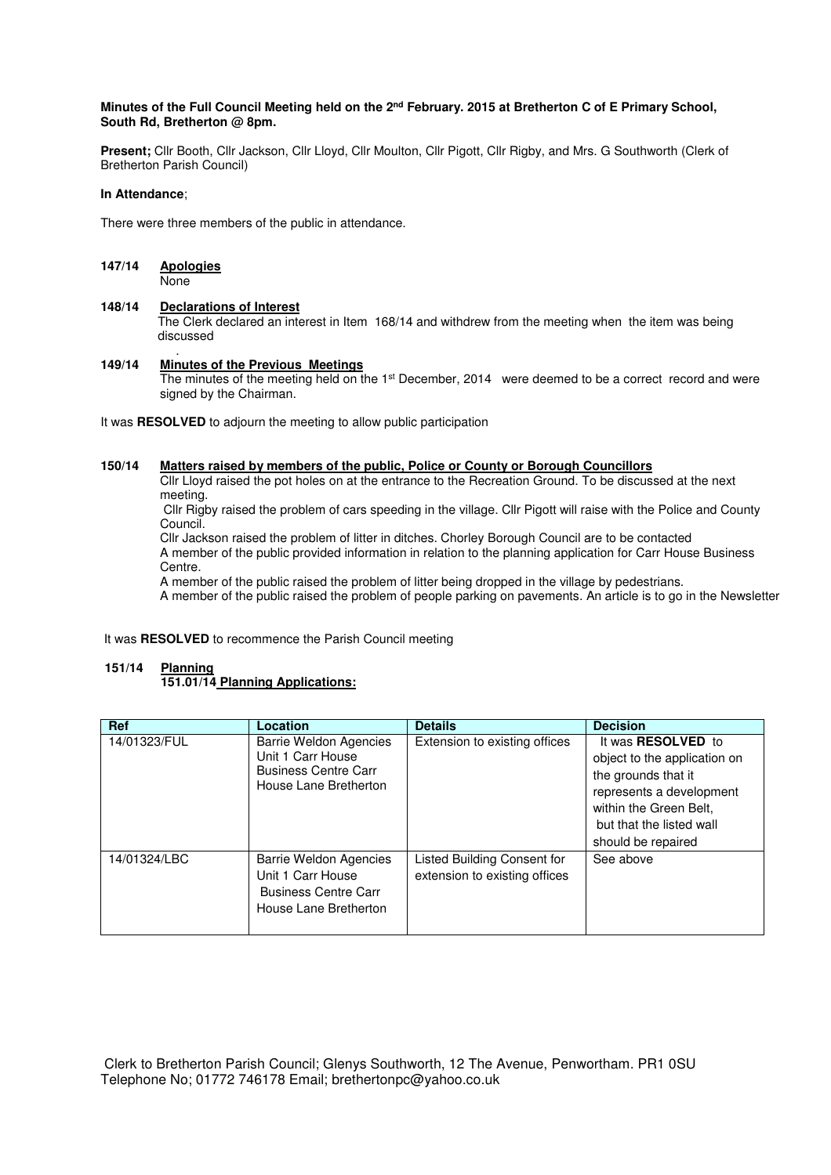#### **Minutes of the Full Council Meeting held on the 2nd February. 2015 at Bretherton C of E Primary School, South Rd, Bretherton @ 8pm.**

**Present;** Cllr Booth, Cllr Jackson, Cllr Lloyd, Cllr Moulton, Cllr Pigott, Cllr Rigby, and Mrs. G Southworth (Clerk of Bretherton Parish Council)

#### **In Attendance**;

There were three members of the public in attendance.

# **147/14 Apologies**

None

#### **148/14 Declarations of Interest**

 The Clerk declared an interest in Item 168/14 and withdrew from the meeting when the item was being discussed

#### . **149/14 Minutes of the Previous Meetings**

The minutes of the meeting held on the 1<sup>st</sup> December, 2014 were deemed to be a correct record and were signed by the Chairman.

It was **RESOLVED** to adjourn the meeting to allow public participation

### **150/14 Matters raised by members of the public, Police or County or Borough Councillors**

 Cllr Lloyd raised the pot holes on at the entrance to the Recreation Ground. To be discussed at the next meeting.

 Cllr Rigby raised the problem of cars speeding in the village. Cllr Pigott will raise with the Police and County Council.

 Cllr Jackson raised the problem of litter in ditches. Chorley Borough Council are to be contacted A member of the public provided information in relation to the planning application for Carr House Business Centre.

A member of the public raised the problem of litter being dropped in the village by pedestrians.

A member of the public raised the problem of people parking on pavements. An article is to go in the Newsletter

It was **RESOLVED** to recommence the Parish Council meeting

#### **151/14 Planning 151.01/14 Planning Applications:**

| <b>Ref</b>   | Location                                                                                                   | <b>Details</b>                                               | <b>Decision</b>                                                                                                                                                                          |
|--------------|------------------------------------------------------------------------------------------------------------|--------------------------------------------------------------|------------------------------------------------------------------------------------------------------------------------------------------------------------------------------------------|
| 14/01323/FUL | <b>Barrie Weldon Agencies</b><br>Unit 1 Carr House<br><b>Business Centre Carr</b><br>House Lane Bretherton | Extension to existing offices                                | It was <b>RESOLVED</b> to<br>object to the application on<br>the grounds that it<br>represents a development<br>within the Green Belt,<br>but that the listed wall<br>should be repaired |
| 14/01324/LBC | <b>Barrie Weldon Agencies</b><br>Unit 1 Carr House<br><b>Business Centre Carr</b><br>House Lane Bretherton | Listed Building Consent for<br>extension to existing offices | See above                                                                                                                                                                                |

 Clerk to Bretherton Parish Council; Glenys Southworth, 12 The Avenue, Penwortham. PR1 0SU Telephone No; 01772 746178 Email; brethertonpc@yahoo.co.uk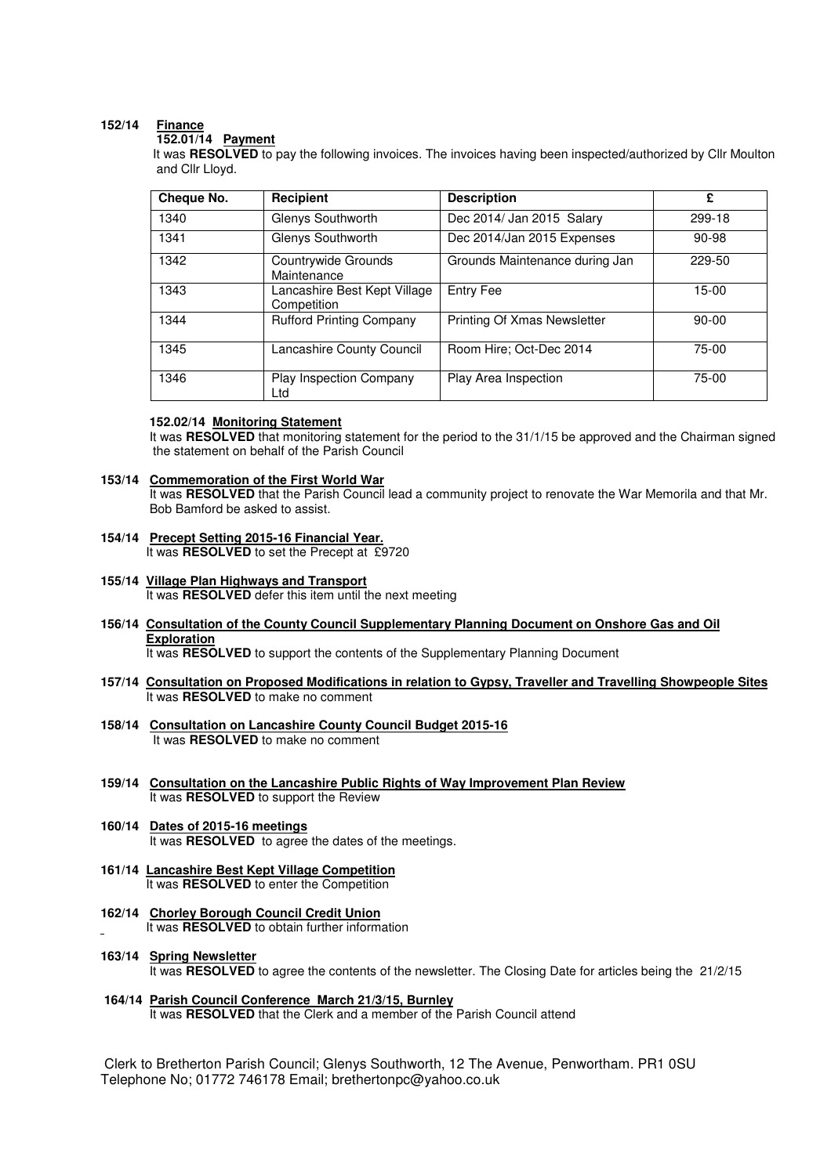## **152/14 Finance**

 **152.01/14 Payment** 

It was **RESOLVED** to pay the following invoices. The invoices having been inspected/authorized by Cllr Moulton and Cllr Lloyd.

| Cheque No. | Recipient                                   | <b>Description</b>             | £         |
|------------|---------------------------------------------|--------------------------------|-----------|
| 1340       | Glenys Southworth                           | Dec 2014/ Jan 2015 Salary      | 299-18    |
| 1341       | Glenys Southworth                           | Dec 2014/Jan 2015 Expenses     | 90-98     |
| 1342       | Countrywide Grounds<br>Maintenance          | Grounds Maintenance during Jan | 229-50    |
| 1343       | Lancashire Best Kept Village<br>Competition | <b>Entry Fee</b>               | 15-00     |
| 1344       | <b>Rufford Printing Company</b>             | Printing Of Xmas Newsletter    | $90 - 00$ |
| 1345       | Lancashire County Council                   | Room Hire: Oct-Dec 2014        | 75-00     |
| 1346       | <b>Play Inspection Company</b><br>Ltd       | Play Area Inspection           | 75-00     |

#### **152.02/14 Monitoring Statement**

It was RESOLVED that monitoring statement for the period to the 31/1/15 be approved and the Chairman signed the statement on behalf of the Parish Council

#### **153/14 Commemoration of the First World War**

 It was **RESOLVED** that the Parish Council lead a community project to renovate the War Memorila and that Mr. Bob Bamford be asked to assist.

- **154/14 Precept Setting 2015-16 Financial Year.**  It was **RESOLVED** to set the Precept at £9720
- **155/14 Village Plan Highways and Transport**  It was **RESOLVED** defer this item until the next meeting
- **156/14 Consultation of the County Council Supplementary Planning Document on Onshore Gas and Oil Exploration**

It was **RESOLVED** to support the contents of the Supplementary Planning Document

- **157/14 Consultation on Proposed Modifications in relation to Gypsy, Traveller and Travelling Showpeople Sites** It was **RESOLVED** to make no comment
- **158/14 Consultation on Lancashire County Council Budget 2015-16**  It was **RESOLVED** to make no comment
- **159/14 Consultation on the Lancashire Public Rights of Way Improvement Plan Review**  It was **RESOLVED** to support the Review
- **160/14 Dates of 2015-16 meetings** It was **RESOLVED** to agree the dates of the meetings.
- **161/14 Lancashire Best Kept Village Competition** It was **RESOLVED** to enter the Competition
- **162/14 Chorley Borough Council Credit Union** It was **RESOLVED** to obtain further information
- **163/14 Spring Newsletter**  It was **RESOLVED** to agree the contents of the newsletter. The Closing Date for articles being the 21/2/15
- **164/14 Parish Council Conference March 21/3/15, Burnley**  It was **RESOLVED** that the Clerk and a member of the Parish Council attend

 Clerk to Bretherton Parish Council; Glenys Southworth, 12 The Avenue, Penwortham. PR1 0SU Telephone No; 01772 746178 Email; brethertonpc@yahoo.co.uk